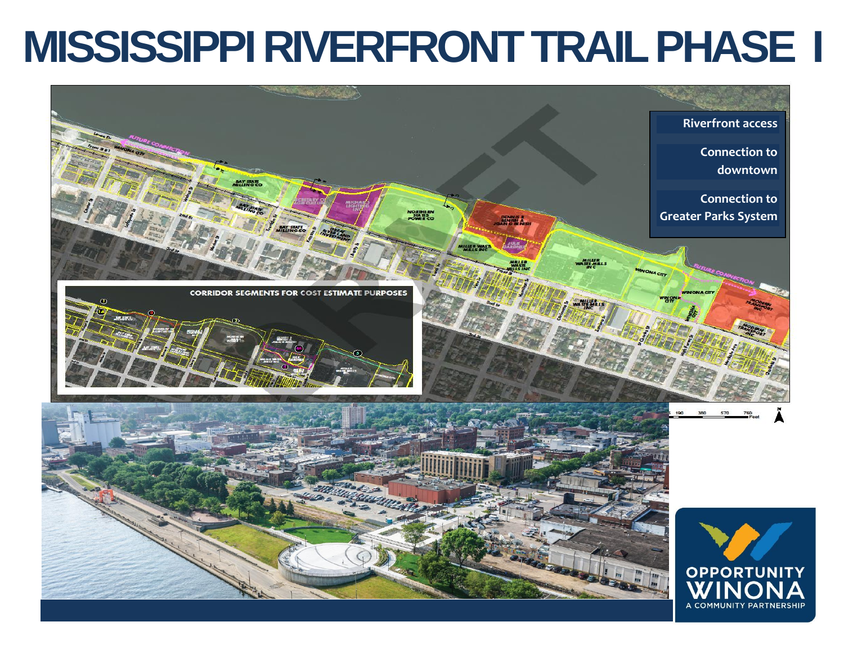## **MISSISSIPPI RIVERFRONT TRAILPHASE I**

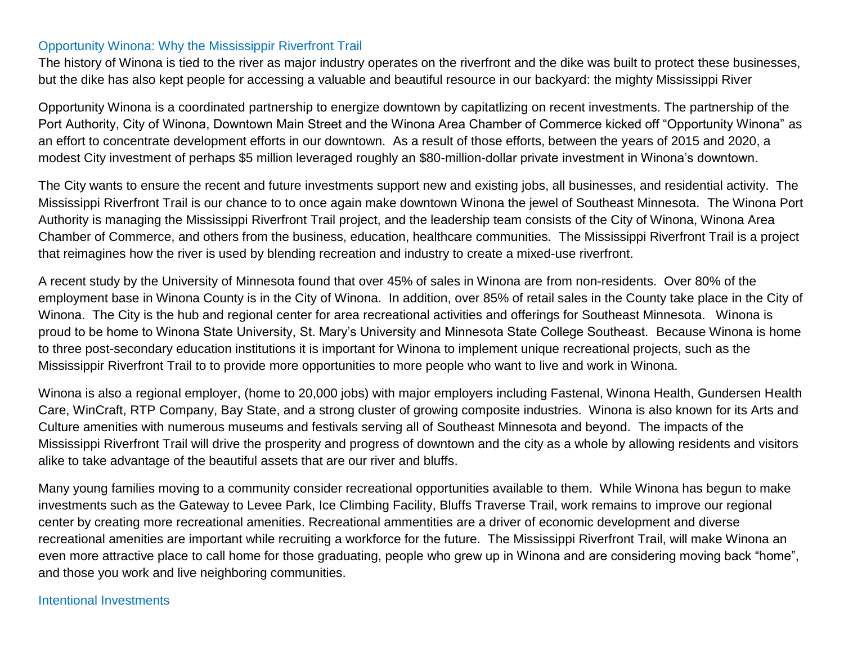## Opportunity Winona: Why the Mississippir Riverfront Trail

The history of Winona is tied to the river as major industry operates on the riverfront and the dike was built to protect these businesses, but the dike has also kept people for accessing a valuable and beautiful resource in our backyard: the mighty Mississippi River

Opportunity Winona is a coordinated partnership to energize downtown by capitatlizing on recent investments. The partnership of the Port Authority, City of Winona, Downtown Main Street and the Winona Area Chamber of Commerce kicked off "Opportunity Winona" as an effort to concentrate development efforts in our downtown. As a result of those efforts, between the years of 2015 and 2020, a modest City investment of perhaps \$5 million leveraged roughly an \$80-million-dollar private investment in Winona's downtown.

The City wants to ensure the recent and future investments support new and existing jobs, all businesses, and residential activity. The Mississippi Riverfront Trail is our chance to to once again make downtown Winona the jewel of Southeast Minnesota. The Winona Port Authority is managing the Mississippi Riverfront Trail project, and the leadership team consists of the City of Winona, Winona Area Chamber of Commerce, and others from the business, education, healthcare communities. The Mississippi Riverfront Trail is a project that reimagines how the river is used by blending recreation and industry to create a mixed-use riverfront.

A recent study by the University of Minnesota found that over 45% of sales in Winona are from non-residents. Over 80% of the employment base in Winona County is in the City of Winona. In addition, over 85% of retail sales in the County take place in the City of Winona. The City is the hub and regional center for area recreational activities and offerings for Southeast Minnesota. Winona is proud to be home to Winona State University, St. Mary's University and Minnesota State College Southeast. Because Winona is home to three post-secondary education institutions it is important for Winona to implement unique recreational projects, such as the Mississippir Riverfront Trail to to provide more opportunities to more people who want to live and work in Winona.

Winona is also a regional employer, (home to 20,000 jobs) with major employers including Fastenal, Winona Health, Gundersen Health Care, WinCraft, RTP Company, Bay State, and a strong cluster of growing composite industries. Winona is also known for its Arts and Culture amenities with numerous museums and festivals serving all of Southeast Minnesota and beyond. The impacts of the Mississippi Riverfront Trail will drive the prosperity and progress of downtown and the city as a whole by allowing residents and visitors alike to take advantage of the beautiful assets that are our river and bluffs.

Many young families moving to a community consider recreational opportunities available to them. While Winona has begun to make investments such as the Gateway to Levee Park, Ice Climbing Facility, Bluffs Traverse Trail, work remains to improve our regional center by creating more recreational amenities. Recreational ammentities are a driver of economic development and diverse recreational amenities are important while recruiting a workforce for the future. The Mississippi Riverfront Trail, will make Winona an even more attractive place to call home for those graduating, people who grew up in Winona and are considering moving back "home", and those you work and live neighboring communities.

## Intentional Investments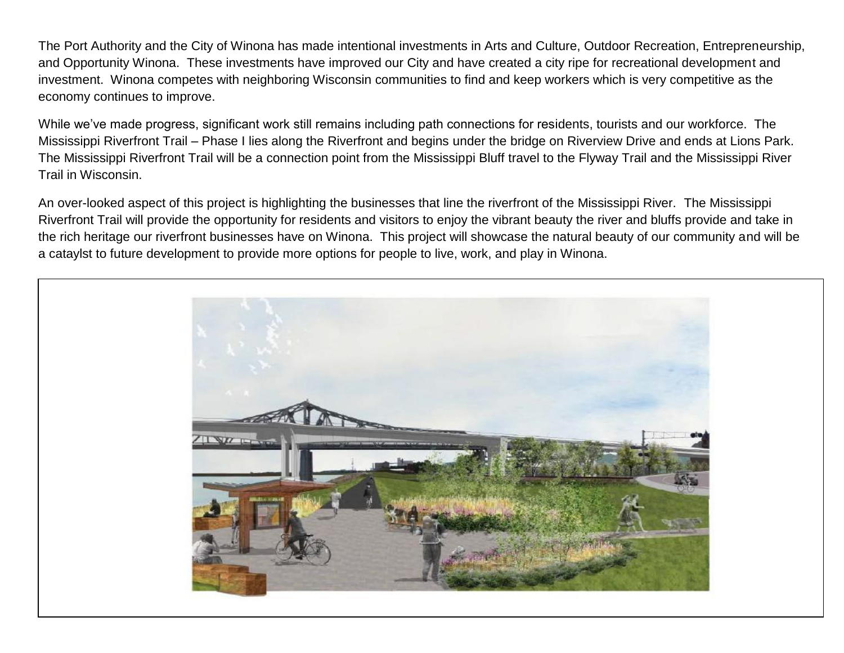The Port Authority and the City of Winona has made intentional investments in Arts and Culture, Outdoor Recreation, Entrepreneurship, and Opportunity Winona. These investments have improved our City and have created a city ripe for recreational development and investment. Winona competes with neighboring Wisconsin communities to find and keep workers which is very competitive as the economy continues to improve.

While we've made progress, significant work still remains including path connections for residents, tourists and our workforce. The Mississippi Riverfront Trail – Phase I lies along the Riverfront and begins under the bridge on Riverview Drive and ends at Lions Park. The Mississippi Riverfront Trail will be a connection point from the Mississippi Bluff travel to the Flyway Trail and the Mississippi River Trail in Wisconsin.

An over-looked aspect of this project is highlighting the businesses that line the riverfront of the Mississippi River. The Mississippi Riverfront Trail will provide the opportunity for residents and visitors to enjoy the vibrant beauty the river and bluffs provide and take in the rich heritage our riverfront businesses have on Winona. This project will showcase the natural beauty of our community and will be a cataylst to future development to provide more options for people to live, work, and play in Winona.

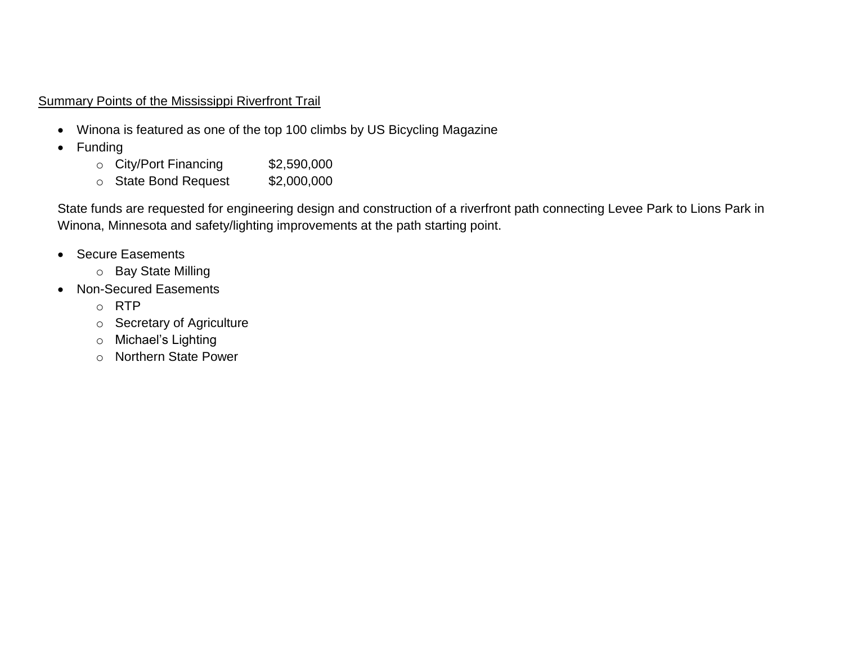## Summary Points of the Mississippi Riverfront Trail

- Winona is featured as one of the top 100 climbs by US Bicycling Magazine
- Funding
	- o City/Port Financing \$2,590,000
	- o State Bond Request \$2,000,000

State funds are requested for engineering design and construction of a riverfront path connecting Levee Park to Lions Park in Winona, Minnesota and safety/lighting improvements at the path starting point.

- Secure Easements
	- o Bay State Milling
- Non-Secured Easements
	- o RTP
	- o Secretary of Agriculture
	- o Michael's Lighting
	- o Northern State Power